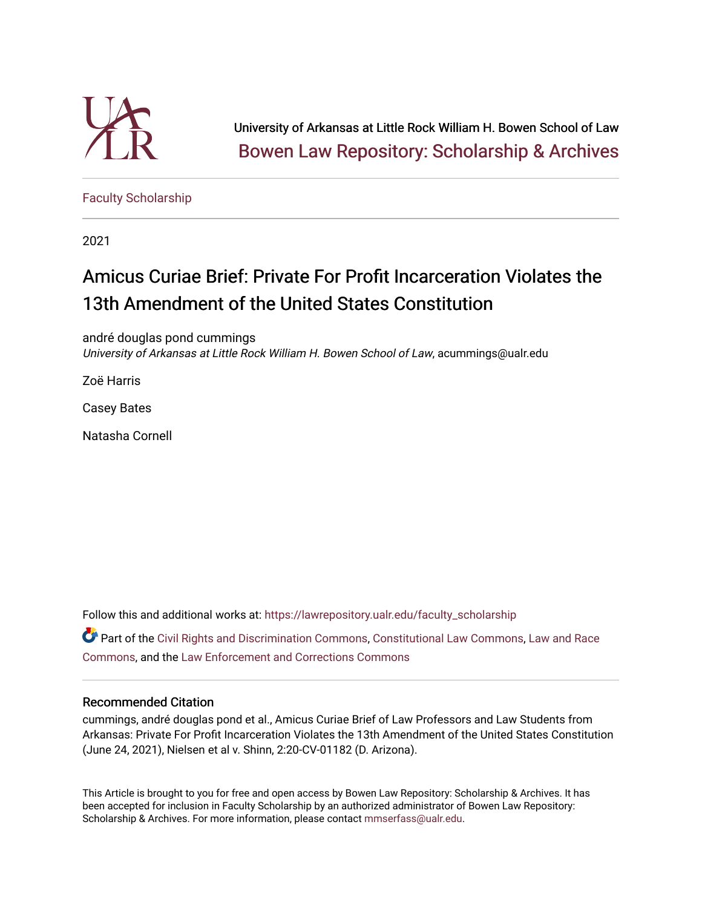

University of Arkansas at Little Rock William H. Bowen School of Law [Bowen Law Repository: Scholarship & Archives](https://lawrepository.ualr.edu/) 

[Faculty Scholarship](https://lawrepository.ualr.edu/faculty_scholarship)

2021

# Amicus Curiae Brief: Private For Profit Incarceration Violates the 13th Amendment of the United States Constitution

andré douglas pond cummings University of Arkansas at Little Rock William H. Bowen School of Law, acummings@ualr.edu

Zoë Harris

Casey Bates

Natasha Cornell

Follow this and additional works at: [https://lawrepository.ualr.edu/faculty\\_scholarship](https://lawrepository.ualr.edu/faculty_scholarship?utm_source=lawrepository.ualr.edu%2Ffaculty_scholarship%2F285&utm_medium=PDF&utm_campaign=PDFCoverPages) 

Part of the [Civil Rights and Discrimination Commons,](https://network.bepress.com/hgg/discipline/585?utm_source=lawrepository.ualr.edu%2Ffaculty_scholarship%2F285&utm_medium=PDF&utm_campaign=PDFCoverPages) [Constitutional Law Commons,](https://network.bepress.com/hgg/discipline/589?utm_source=lawrepository.ualr.edu%2Ffaculty_scholarship%2F285&utm_medium=PDF&utm_campaign=PDFCoverPages) [Law and Race](https://network.bepress.com/hgg/discipline/1300?utm_source=lawrepository.ualr.edu%2Ffaculty_scholarship%2F285&utm_medium=PDF&utm_campaign=PDFCoverPages) [Commons](https://network.bepress.com/hgg/discipline/1300?utm_source=lawrepository.ualr.edu%2Ffaculty_scholarship%2F285&utm_medium=PDF&utm_campaign=PDFCoverPages), and the [Law Enforcement and Corrections Commons](https://network.bepress.com/hgg/discipline/854?utm_source=lawrepository.ualr.edu%2Ffaculty_scholarship%2F285&utm_medium=PDF&utm_campaign=PDFCoverPages) 

## Recommended Citation

cummings, andré douglas pond et al., Amicus Curiae Brief of Law Professors and Law Students from Arkansas: Private For Profit Incarceration Violates the 13th Amendment of the United States Constitution (June 24, 2021), Nielsen et al v. Shinn, 2:20-CV-01182 (D. Arizona).

This Article is brought to you for free and open access by Bowen Law Repository: Scholarship & Archives. It has been accepted for inclusion in Faculty Scholarship by an authorized administrator of Bowen Law Repository: Scholarship & Archives. For more information, please contact [mmserfass@ualr.edu](mailto:mmserfass@ualr.edu).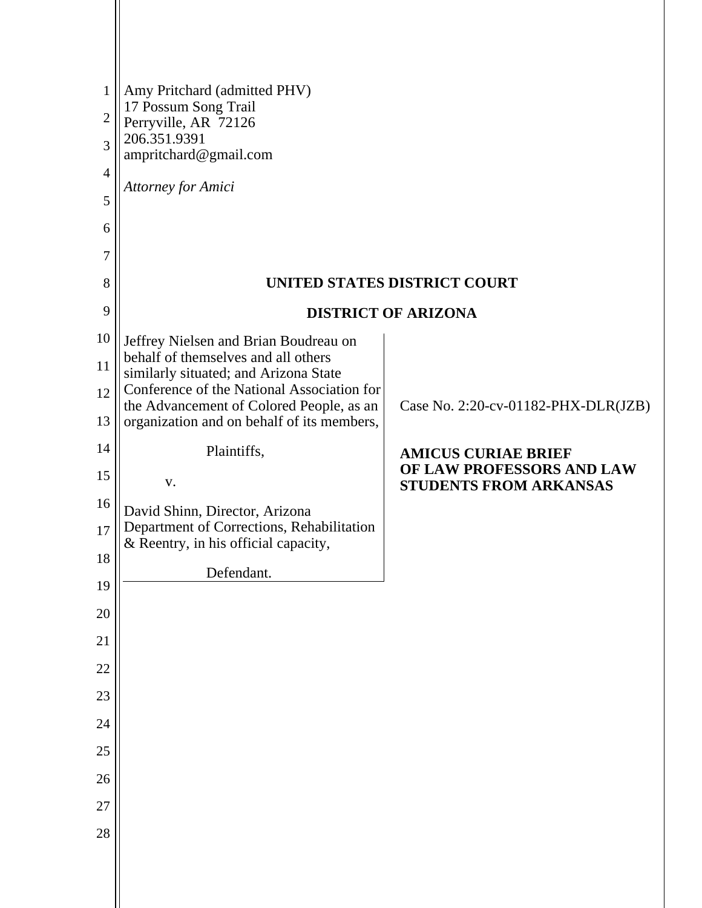| $\mathbf{1}$<br>$\overline{2}$ | Amy Pritchard (admitted PHV)<br>17 Possum Song Trail                                   |                                                                                          |  |  |
|--------------------------------|----------------------------------------------------------------------------------------|------------------------------------------------------------------------------------------|--|--|
| 3                              | Perryville, AR 72126<br>206.351.9391                                                   |                                                                                          |  |  |
| $\overline{4}$                 | ampritchard@gmail.com                                                                  |                                                                                          |  |  |
| 5                              | Attorney for Amici                                                                     |                                                                                          |  |  |
| 6                              |                                                                                        |                                                                                          |  |  |
| 7                              |                                                                                        |                                                                                          |  |  |
| 8                              | UNITED STATES DISTRICT COURT                                                           |                                                                                          |  |  |
| 9                              |                                                                                        | <b>DISTRICT OF ARIZONA</b>                                                               |  |  |
| 10                             | Jeffrey Nielsen and Brian Boudreau on                                                  |                                                                                          |  |  |
| 11                             | behalf of themselves and all others<br>similarly situated; and Arizona State           |                                                                                          |  |  |
| 12                             | Conference of the National Association for<br>the Advancement of Colored People, as an | Case No. 2:20-cv-01182-PHX-DLR(JZB)                                                      |  |  |
| 13                             | organization and on behalf of its members,                                             |                                                                                          |  |  |
| 14<br>15                       | Plaintiffs,<br>V.                                                                      | <b>AMICUS CURIAE BRIEF</b><br>OF LAW PROFESSORS AND LAW<br><b>STUDENTS FROM ARKANSAS</b> |  |  |
| 16                             | David Shinn, Director, Arizona                                                         |                                                                                          |  |  |
| 17                             | Department of Corrections, Rehabilitation<br>& Reentry, in his official capacity,      |                                                                                          |  |  |
| 18                             | Defendant.                                                                             |                                                                                          |  |  |
| 19                             |                                                                                        |                                                                                          |  |  |
| 20                             |                                                                                        |                                                                                          |  |  |
| 21                             |                                                                                        |                                                                                          |  |  |
| 22                             |                                                                                        |                                                                                          |  |  |
| 23                             |                                                                                        |                                                                                          |  |  |
| 24<br>25                       |                                                                                        |                                                                                          |  |  |
| 26                             |                                                                                        |                                                                                          |  |  |
| 27                             |                                                                                        |                                                                                          |  |  |
| 28                             |                                                                                        |                                                                                          |  |  |
|                                |                                                                                        |                                                                                          |  |  |
|                                |                                                                                        |                                                                                          |  |  |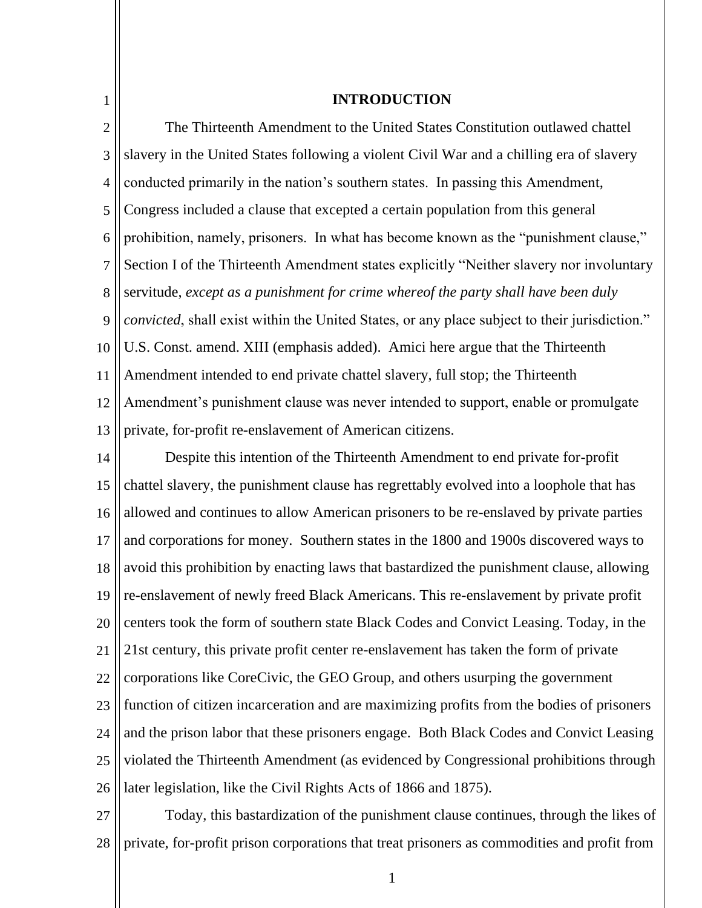| $\mathbf{1}$   | <b>INTRODUCTION</b>                                                                           |  |
|----------------|-----------------------------------------------------------------------------------------------|--|
| $\overline{2}$ | The Thirteenth Amendment to the United States Constitution outlawed chattel                   |  |
| 3              | slavery in the United States following a violent Civil War and a chilling era of slavery      |  |
| $\overline{4}$ | conducted primarily in the nation's southern states. In passing this Amendment,               |  |
| 5              | Congress included a clause that excepted a certain population from this general               |  |
| 6              | prohibition, namely, prisoners. In what has become known as the "punishment clause,"          |  |
| 7              | Section I of the Thirteenth Amendment states explicitly "Neither slavery nor involuntary      |  |
| 8              | servitude, except as a punishment for crime whereof the party shall have been duly            |  |
| 9              | convicted, shall exist within the United States, or any place subject to their jurisdiction." |  |
| 10             | U.S. Const. amend. XIII (emphasis added). Amici here argue that the Thirteenth                |  |
| 11             | Amendment intended to end private chattel slavery, full stop; the Thirteenth                  |  |
| 12             | Amendment's punishment clause was never intended to support, enable or promulgate             |  |
| 13             | private, for-profit re-enslavement of American citizens.                                      |  |
| 14             | Despite this intention of the Thirteenth Amendment to end private for-profit                  |  |
| 15             | chattel slavery, the punishment clause has regrettably evolved into a loophole that has       |  |
| 16             | allowed and continues to allow American prisoners to be re-enslaved by private parties        |  |
| 17             | and corporations for money. Southern states in the 1800 and 1900s discovered ways to          |  |
| 18             | avoid this prohibition by enacting laws that bastardized the punishment clause, allowing      |  |
| 19             | re-enslavement of newly freed Black Americans. This re-enslavement by private profit          |  |
| 20             | centers took the form of southern state Black Codes and Convict Leasing. Today, in the        |  |
| 21             | 21st century, this private profit center re-enslavement has taken the form of private         |  |
| 22             | corporations like CoreCivic, the GEO Group, and others usurping the government                |  |
| 23             | function of citizen incarceration and are maximizing profits from the bodies of prisoners     |  |
| 24             | and the prison labor that these prisoners engage. Both Black Codes and Convict Leasing        |  |
| 25             | violated the Thirteenth Amendment (as evidenced by Congressional prohibitions through         |  |

26 later legislation, like the Civil Rights Acts of 1866 and 1875).

27 28 Today, this bastardization of the punishment clause continues, through the likes of private, for-profit prison corporations that treat prisoners as commodities and profit from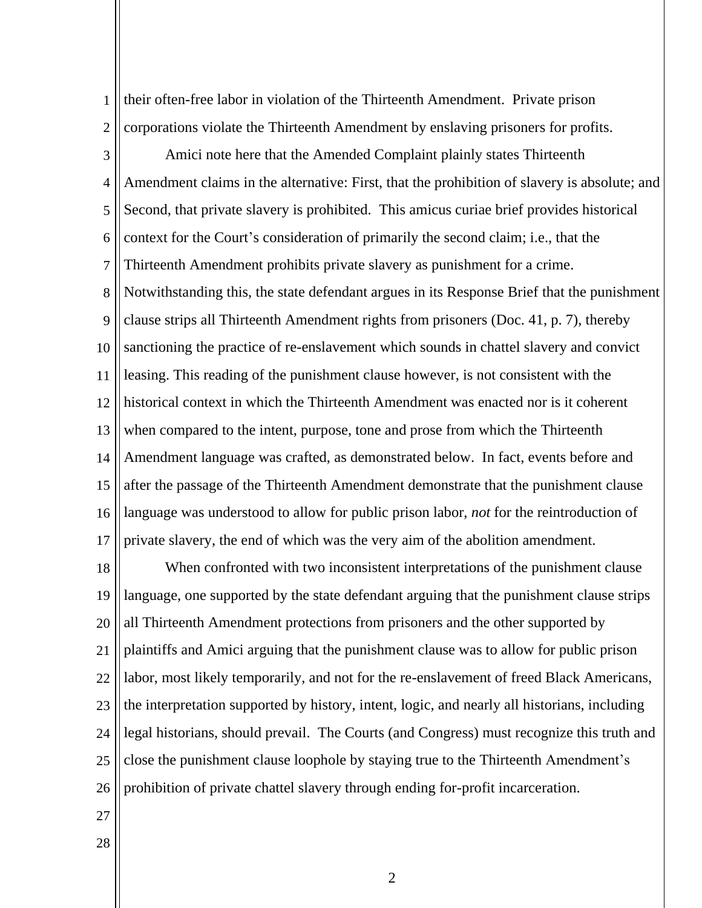1 2 their often-free labor in violation of the Thirteenth Amendment. Private prison corporations violate the Thirteenth Amendment by enslaving prisoners for profits.

3 4 5 6 7 8 9 10 11 12 13 14 15 16 17 Amici note here that the Amended Complaint plainly states Thirteenth Amendment claims in the alternative: First, that the prohibition of slavery is absolute; and Second, that private slavery is prohibited. This amicus curiae brief provides historical context for the Court's consideration of primarily the second claim; i.e., that the Thirteenth Amendment prohibits private slavery as punishment for a crime. Notwithstanding this, the state defendant argues in its Response Brief that the punishment clause strips all Thirteenth Amendment rights from prisoners (Doc. 41, p. 7), thereby sanctioning the practice of re-enslavement which sounds in chattel slavery and convict leasing. This reading of the punishment clause however, is not consistent with the historical context in which the Thirteenth Amendment was enacted nor is it coherent when compared to the intent, purpose, tone and prose from which the Thirteenth Amendment language was crafted, as demonstrated below. In fact, events before and after the passage of the Thirteenth Amendment demonstrate that the punishment clause language was understood to allow for public prison labor, *not* for the reintroduction of private slavery, the end of which was the very aim of the abolition amendment.

18 19 20 21 22 23 24 25 26 When confronted with two inconsistent interpretations of the punishment clause language, one supported by the state defendant arguing that the punishment clause strips all Thirteenth Amendment protections from prisoners and the other supported by plaintiffs and Amici arguing that the punishment clause was to allow for public prison labor, most likely temporarily, and not for the re-enslavement of freed Black Americans, the interpretation supported by history, intent, logic, and nearly all historians, including legal historians, should prevail. The Courts (and Congress) must recognize this truth and close the punishment clause loophole by staying true to the Thirteenth Amendment's prohibition of private chattel slavery through ending for-profit incarceration.

- 27
- 28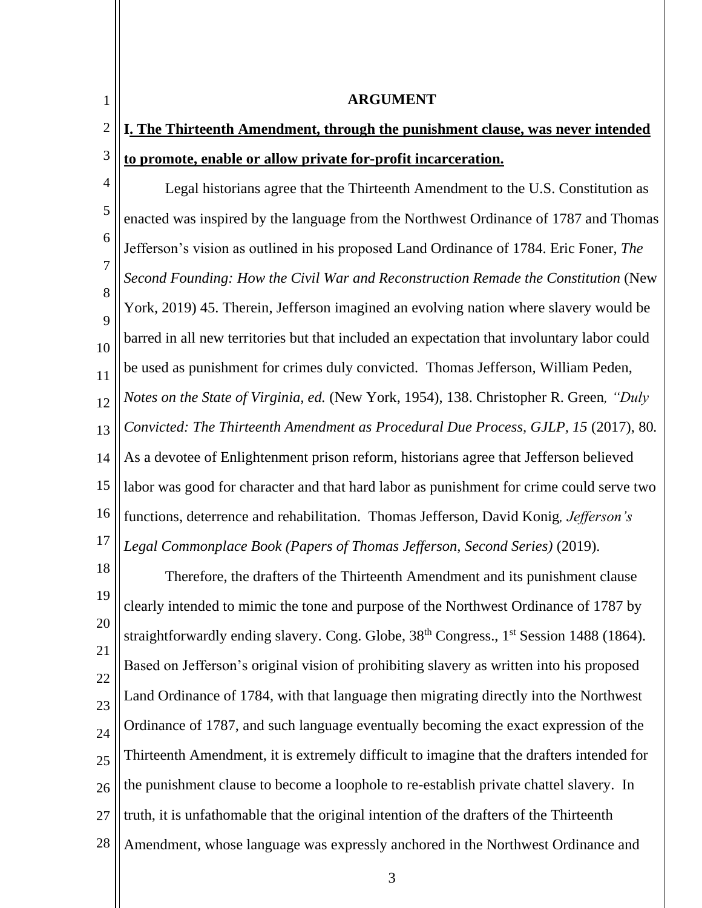1 2 3 4 5 6 7 8  $\overline{Q}$ 10 11 12 13 14 15 16 17 18 19 20 21 **ARGUMENT I. The Thirteenth Amendment, through the punishment clause, was never intended to promote, enable or allow private for-profit incarceration.** Legal historians agree that the Thirteenth Amendment to the U.S. Constitution as enacted was inspired by the language from the Northwest Ordinance of 1787 and Thomas Jefferson's vision as outlined in his proposed Land Ordinance of 1784. Eric Foner, *The Second Founding: How the Civil War and Reconstruction Remade the Constitution* (New York, 2019) 45. Therein, Jefferson imagined an evolving nation where slavery would be barred in all new territories but that included an expectation that involuntary labor could be used as punishment for crimes duly convicted. Thomas Jefferson*,* William Peden, *Notes on the State of Virginia, ed.* (New York, 1954), 138. Christopher R. Green*, "Duly Convicted: The Thirteenth Amendment as Procedural Due Process, GJLP, 15 (2017), 80.* As a devotee of Enlightenment prison reform, historians agree that Jefferson believed labor was good for character and that hard labor as punishment for crime could serve two functions, deterrence and rehabilitation. Thomas Jefferson, David Konig*, Jefferson's Legal Commonplace Book (Papers of Thomas Jefferson, Second Series)* (2019). Therefore, the drafters of the Thirteenth Amendment and its punishment clause clearly intended to mimic the tone and purpose of the Northwest Ordinance of 1787 by straightforwardly ending slavery. Cong. Globe, 38<sup>th</sup> Congress., 1<sup>st</sup> Session 1488 (1864). Based on Jefferson's original vision of prohibiting slavery as written into his proposed

22 23  $24$ 25 26 27 28 Land Ordinance of 1784, with that language then migrating directly into the Northwest Ordinance of 1787, and such language eventually becoming the exact expression of the Thirteenth Amendment, it is extremely difficult to imagine that the drafters intended for the punishment clause to become a loophole to re-establish private chattel slavery. In truth, it is unfathomable that the original intention of the drafters of the Thirteenth Amendment, whose language was expressly anchored in the Northwest Ordinance and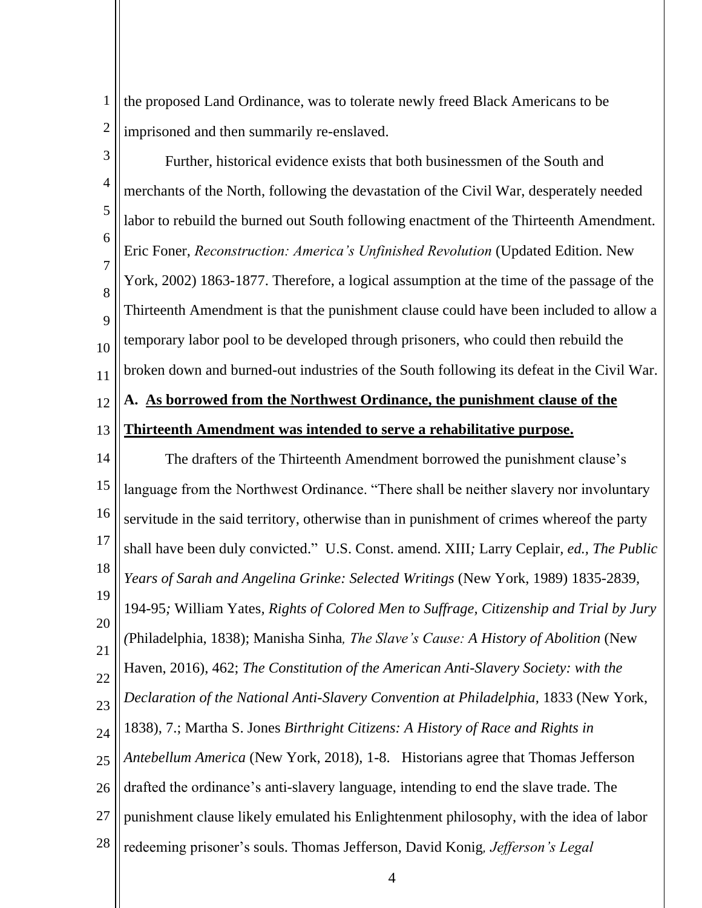1 2 the proposed Land Ordinance, was to tolerate newly freed Black Americans to be imprisoned and then summarily re-enslaved.

3 4 5 6 7 8  $\overline{Q}$ 10 11 Further, historical evidence exists that both businessmen of the South and merchants of the North, following the devastation of the Civil War, desperately needed labor to rebuild the burned out South following enactment of the Thirteenth Amendment. Eric Foner, *Reconstruction: America's Unfinished Revolution* (Updated Edition. New York, 2002) 1863-1877. Therefore, a logical assumption at the time of the passage of the Thirteenth Amendment is that the punishment clause could have been included to allow a temporary labor pool to be developed through prisoners, who could then rebuild the broken down and burned-out industries of the South following its defeat in the Civil War.

# **A. As borrowed from the Northwest Ordinance, the punishment clause of the**

#### 13 **Thirteenth Amendment was intended to serve a rehabilitative purpose.**

12

14 15 16 17 18 19 20 21 22 23  $24$ 25 26 27 28 The drafters of the Thirteenth Amendment borrowed the punishment clause's language from the Northwest Ordinance. "There shall be neither slavery nor involuntary servitude in the said territory, otherwise than in punishment of crimes whereof the party shall have been duly convicted." U.S. Const. amend. XIII*;* Larry Ceplair*, ed., The Public Years of Sarah and Angelina Grinke: Selected Writings* (New York, 1989) 1835-2839*,*  194-95*;* William Yates*, Rights of Colored Men to Suffrage, Citizenship and Trial by Jury (*Philadelphia, 1838); Manisha Sinha*, The Slave's Cause: A History of Abolition* (New Haven, 2016), 462; *The Constitution of the American Anti-Slavery Society: with the Declaration of the National Anti-Slavery Convention at Philadelphia, 1833 (New York,* 1838), 7.; Martha S. Jones *Birthright Citizens: A History of Race and Rights in Antebellum America* (New York, 2018), 1-8. Historians agree that Thomas Jefferson drafted the ordinance's anti-slavery language, intending to end the slave trade. The punishment clause likely emulated his Enlightenment philosophy, with the idea of labor redeeming prisoner's souls. Thomas Jefferson, David Konig*, Jefferson's Legal*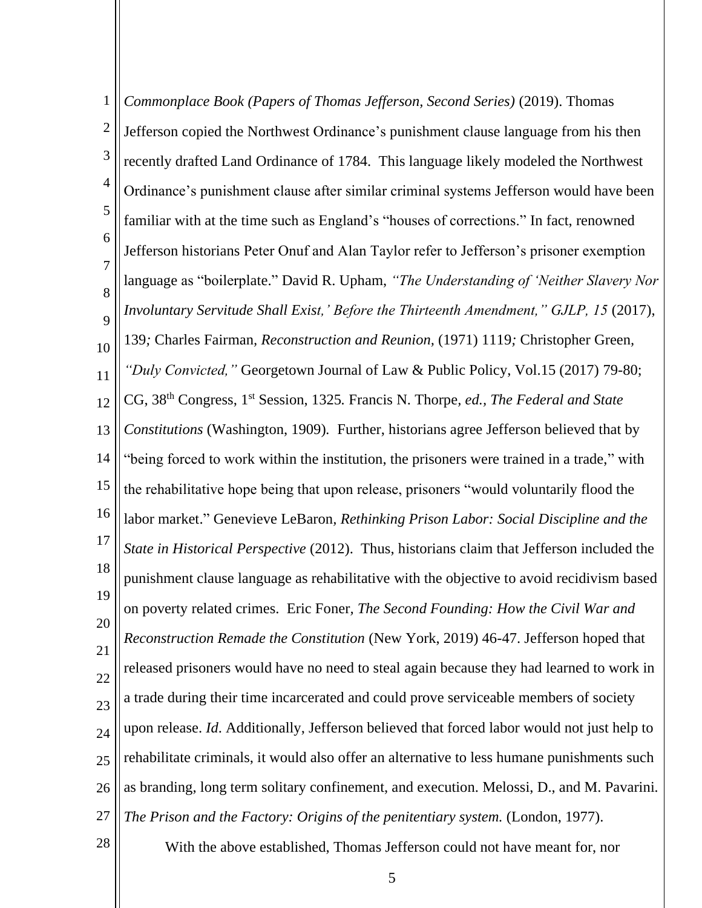1 2 3 4 5 6 7 8  $\overline{Q}$ 10 11 12 13 14 15 16 17 18 19 20 21 22 23  $24$ 25 26 27 28 *Commonplace Book (Papers of Thomas Jefferson, Second Series)* (2019). Thomas Jefferson copied the Northwest Ordinance's punishment clause language from his then recently drafted Land Ordinance of 1784. This language likely modeled the Northwest Ordinance's punishment clause after similar criminal systems Jefferson would have been familiar with at the time such as England's "houses of corrections." In fact, renowned Jefferson historians Peter Onuf and Alan Taylor refer to Jefferson's prisoner exemption language as "boilerplate." David R. Upham, *"The Understanding of 'Neither Slavery Nor Involuntary Servitude Shall Exist,' Before the Thirteenth Amendment," GJLP, 15 (2017),* 139*;* Charles Fairman*, Reconstruction and Reunion,* (1971) 1119*;* Christopher Green*, "Duly Convicted,"* Georgetown Journal of Law & Public Policy, Vol.15 (2017) 79-80; CG, 38th Congress, 1st Session, 1325*.* Francis N. Thorpe*, ed., The Federal and State Constitutions* (Washington, 1909)*.* Further, historians agree Jefferson believed that by "being forced to work within the institution, the prisoners were trained in a trade," with the rehabilitative hope being that upon release, prisoners "would voluntarily flood the labor market." Genevieve LeBaron*, Rethinking Prison Labor: Social Discipline and the State in Historical Perspective* (2012). Thus, historians claim that Jefferson included the punishment clause language as rehabilitative with the objective to avoid recidivism based on poverty related crimes. Eric Foner*, The Second Founding: How the Civil War and Reconstruction Remade the Constitution* (New York, 2019) 46-47. Jefferson hoped that released prisoners would have no need to steal again because they had learned to work in a trade during their time incarcerated and could prove serviceable members of society upon release. *Id*. Additionally, Jefferson believed that forced labor would not just help to rehabilitate criminals, it would also offer an alternative to less humane punishments such as branding, long term solitary confinement, and execution. Melossi, D., and M. Pavarini*. The Prison and the Factory: Origins of the penitentiary system.* (London, 1977). With the above established, Thomas Jefferson could not have meant for, nor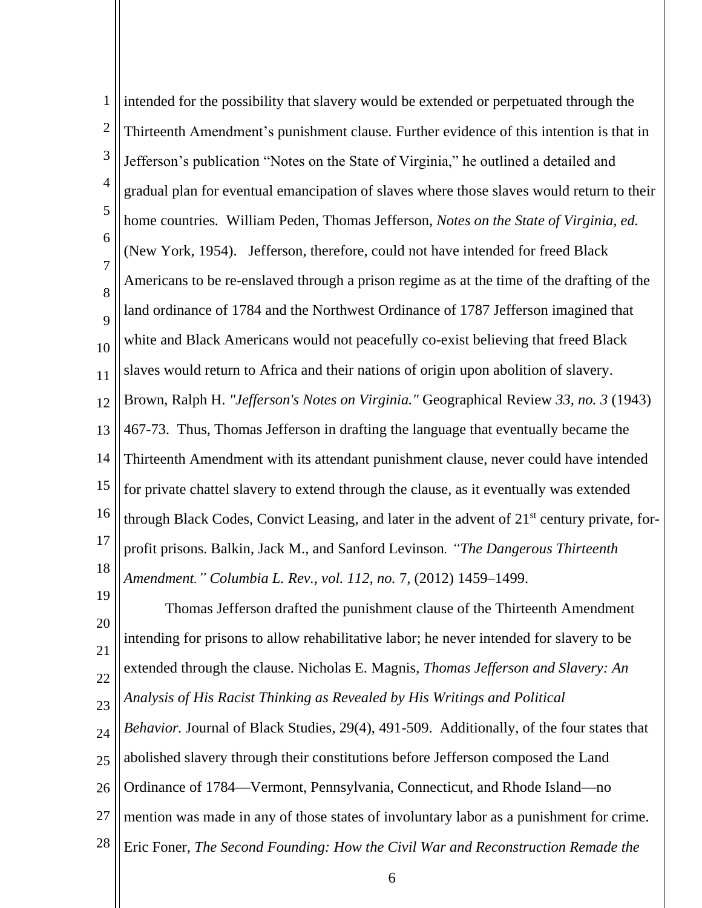1 2 3 4 5 6 7 8  $\overline{Q}$ 10 11 12 13 14 15 16 17 18 intended for the possibility that slavery would be extended or perpetuated through the Thirteenth Amendment's punishment clause. Further evidence of this intention is that in Jefferson's publication "Notes on the State of Virginia," he outlined a detailed and gradual plan for eventual emancipation of slaves where those slaves would return to their home countries*.* William Peden, Thomas Jefferson*, Notes on the State of Virginia, ed.*  (New York, 1954). Jefferson, therefore, could not have intended for freed Black Americans to be re-enslaved through a prison regime as at the time of the drafting of the land ordinance of 1784 and the Northwest Ordinance of 1787 Jefferson imagined that white and Black Americans would not peacefully co-exist believing that freed Black slaves would return to Africa and their nations of origin upon abolition of slavery. Brown, Ralph H. *"Jefferson's Notes on Virginia."* Geographical Review *33, no. 3* (1943) 467-73. Thus, Thomas Jefferson in drafting the language that eventually became the Thirteenth Amendment with its attendant punishment clause, never could have intended for private chattel slavery to extend through the clause, as it eventually was extended through Black Codes, Convict Leasing, and later in the advent of  $21<sup>st</sup>$  century private, forprofit prisons. Balkin, Jack M., and Sanford Levinson*. "The Dangerous Thirteenth Amendment." Columbia L. Rev., vol. 112, no.* 7, (2012) 1459–1499.

20 21 22 23 24 25 26 27 28 Thomas Jefferson drafted the punishment clause of the Thirteenth Amendment intending for prisons to allow rehabilitative labor; he never intended for slavery to be extended through the clause. Nicholas E. Magnis, *Thomas Jefferson and Slavery: An Analysis of His Racist Thinking as Revealed by His Writings and Political Behavior.* Journal of Black Studies, 29(4), 491-509.Additionally, of the four states that abolished slavery through their constitutions before Jefferson composed the Land Ordinance of 1784—Vermont, Pennsylvania, Connecticut, and Rhode Island—no mention was made in any of those states of involuntary labor as a punishment for crime. Eric Foner*, The Second Founding: How the Civil War and Reconstruction Remade the* 

19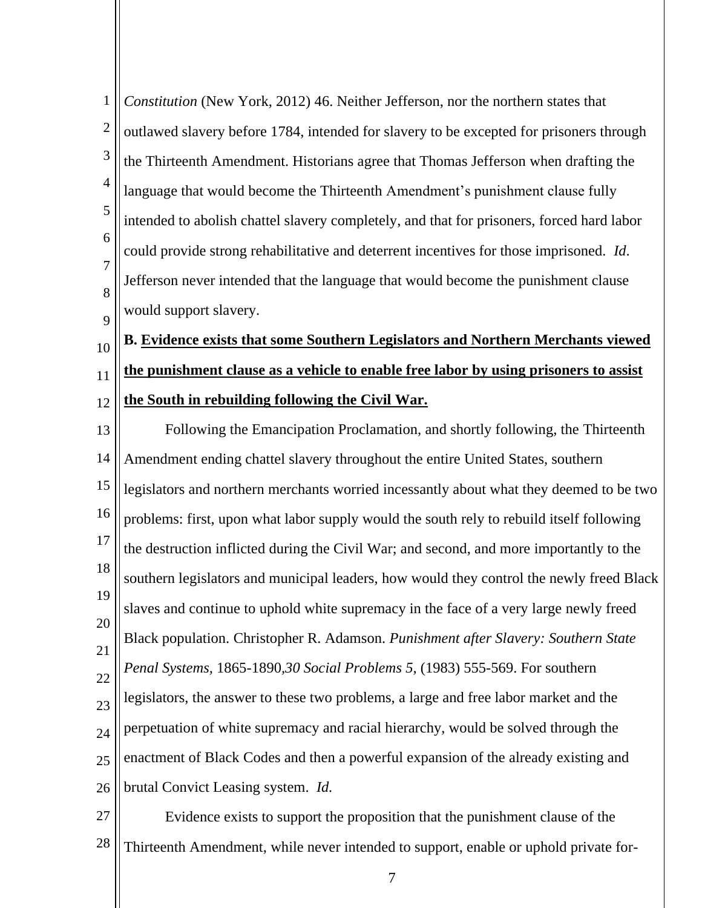| $\mathbf{1}$        | Constitution (New York, 2012) 46. Neither Jefferson, nor the northern states that         |  |  |
|---------------------|-------------------------------------------------------------------------------------------|--|--|
| $\mathbf{2}$        | outlawed slavery before 1784, intended for slavery to be excepted for prisoners through   |  |  |
| $\mathfrak{Z}$      | the Thirteenth Amendment. Historians agree that Thomas Jefferson when drafting the        |  |  |
| $\overline{4}$      | language that would become the Thirteenth Amendment's punishment clause fully             |  |  |
| 5                   | intended to abolish chattel slavery completely, and that for prisoners, forced hard labor |  |  |
| 6<br>$\overline{7}$ | could provide strong rehabilitative and deterrent incentives for those imprisoned. Id.    |  |  |
| 8                   | Jefferson never intended that the language that would become the punishment clause        |  |  |
| 9                   | would support slavery.                                                                    |  |  |
| 10                  | B. Evidence exists that some Southern Legislators and Northern Merchants viewed           |  |  |
| 11                  | the punishment clause as a vehicle to enable free labor by using prisoners to assist      |  |  |
| 12                  | the South in rebuilding following the Civil War.                                          |  |  |
| 13                  | Following the Emancipation Proclamation, and shortly following, the Thirteenth            |  |  |
| 14                  | Amendment ending chattel slavery throughout the entire United States, southern            |  |  |
| 15                  | legislators and northern merchants worried incessantly about what they deemed to be two   |  |  |
| 16                  | problems: first, upon what labor supply would the south rely to rebuild itself following  |  |  |
| 17                  | the destruction inflicted during the Civil War; and second, and more importantly to the   |  |  |
| 18<br>19            | southern legislators and municipal leaders, how would they control the newly freed Black  |  |  |
| 20                  | slaves and continue to uphold white supremacy in the face of a very large newly freed     |  |  |
| 21                  | Black population. Christopher R. Adamson. Punishment after Slavery: Southern State        |  |  |
| 22                  | Penal Systems, 1865-1890,30 Social Problems 5, (1983) 555-569. For southern               |  |  |
| 23                  | legislators, the answer to these two problems, a large and free labor market and the      |  |  |
| 24                  | perpetuation of white supremacy and racial hierarchy, would be solved through the         |  |  |
| 25                  | enactment of Black Codes and then a powerful expansion of the already existing and        |  |  |
| 26                  | brutal Convict Leasing system. Id.                                                        |  |  |
|                     |                                                                                           |  |  |

27 28 Evidence exists to support the proposition that the punishment clause of the Thirteenth Amendment, while never intended to support, enable or uphold private for-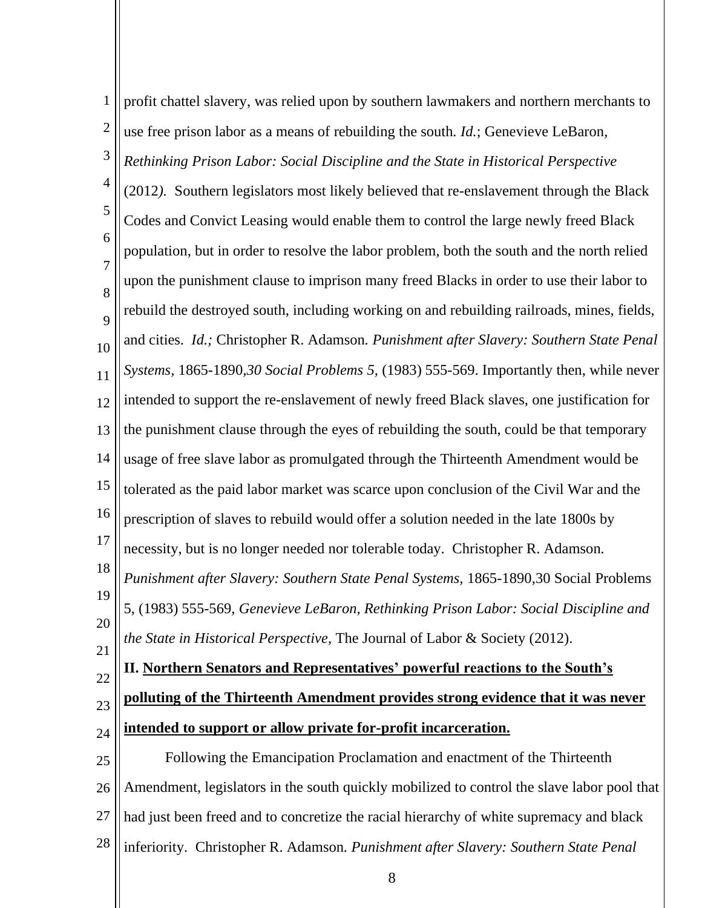| 1                   | profit chattel slavery, was relied upon by southern lawmakers and northern merchants to    |  |  |
|---------------------|--------------------------------------------------------------------------------------------|--|--|
| $\overline{2}$      | use free prison labor as a means of rebuilding the south. <i>Id.</i> ; Genevieve LeBaron,  |  |  |
| 3                   | Rethinking Prison Labor: Social Discipline and the State in Historical Perspective         |  |  |
| $\overline{4}$      | (2012). Southern legislators most likely believed that re-enslavement through the Black    |  |  |
| 5                   | Codes and Convict Leasing would enable them to control the large newly freed Black         |  |  |
| 6                   | population, but in order to resolve the labor problem, both the south and the north relied |  |  |
| $\overline{7}$<br>8 | upon the punishment clause to imprison many freed Blacks in order to use their labor to    |  |  |
| 9                   | rebuild the destroyed south, including working on and rebuilding railroads, mines, fields, |  |  |
| 10                  | and cities. Id.; Christopher R. Adamson. Punishment after Slavery: Southern State Penal    |  |  |
| 11                  | Systems, 1865-1890,30 Social Problems 5, (1983) 555-569. Importantly then, while never     |  |  |
| 12                  | intended to support the re-enslavement of newly freed Black slaves, one justification for  |  |  |
| 13                  | the punishment clause through the eyes of rebuilding the south, could be that temporary    |  |  |
| 14                  | usage of free slave labor as promulgated through the Thirteenth Amendment would be         |  |  |
| 15                  | tolerated as the paid labor market was scarce upon conclusion of the Civil War and the     |  |  |
| 16                  | prescription of slaves to rebuild would offer a solution needed in the late 1800s by       |  |  |
| 17                  | necessity, but is no longer needed nor tolerable today. Christopher R. Adamson.            |  |  |
| 18                  | Punishment after Slavery: Southern State Penal Systems, 1865-1890,30 Social Problems       |  |  |
| 19                  | 5, (1983) 555-569, Genevieve LeBaron, Rethinking Prison Labor: Social Discipline and       |  |  |
| 20                  | the State in Historical Perspective, The Journal of Labor & Society (2012).                |  |  |
| 21<br>22            | II. Northern Senators and Representatives' powerful reactions to the South's               |  |  |
| 23                  | polluting of the Thirteenth Amendment provides strong evidence that it was never           |  |  |
| 24                  | intended to support or allow private for-profit incarceration.                             |  |  |
| 25                  | Following the Emancipation Proclamation and enactment of the Thirteenth                    |  |  |
| 26                  | Amendment, legislators in the south quickly mobilized to control the slave labor pool that |  |  |
| 27                  | had just been freed and to concretize the racial hierarchy of white supremacy and black    |  |  |
| 28                  | inferiority. Christopher R. Adamson. Punishment after Slavery: Southern State Penal        |  |  |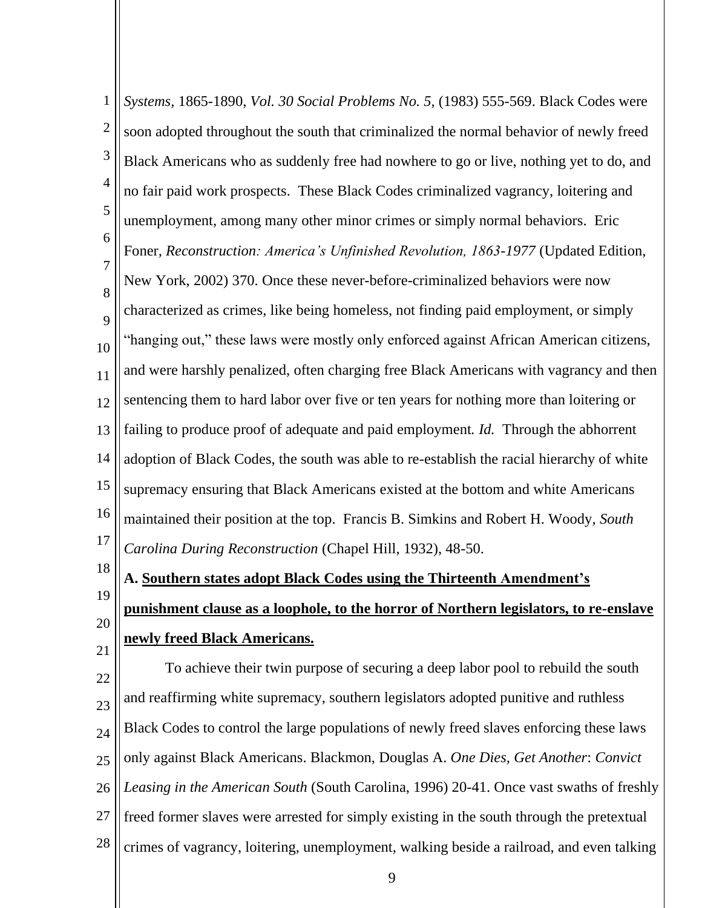1 2 3 4 5 6 7 8  $\overline{Q}$ 10 11 12 13 14 15 16 17 18 19 20 21 22 23 *Systems,* 1865-1890, *Vol. 30 Social Problems No. 5,* (1983) 555-569. Black Codes were soon adopted throughout the south that criminalized the normal behavior of newly freed Black Americans who as suddenly free had nowhere to go or live, nothing yet to do, and no fair paid work prospects. These Black Codes criminalized vagrancy, loitering and unemployment, among many other minor crimes or simply normal behaviors. Eric Foner*, Reconstruction: America's Unfinished Revolution, 1863-1977* (Updated Edition, New York, 2002) 370. Once these never-before-criminalized behaviors were now characterized as crimes, like being homeless, not finding paid employment, or simply "hanging out," these laws were mostly only enforced against African American citizens, and were harshly penalized, often charging free Black Americans with vagrancy and then sentencing them to hard labor over five or ten years for nothing more than loitering or failing to produce proof of adequate and paid employment*. Id.* Through the abhorrent adoption of Black Codes, the south was able to re-establish the racial hierarchy of white supremacy ensuring that Black Americans existed at the bottom and white Americans maintained their position at the top. Francis B. Simkins and Robert H. Woody*, South Carolina During Reconstruction* (Chapel Hill, 1932), 48-50. **A. Southern states adopt Black Codes using the Thirteenth Amendment's punishment clause as a loophole, to the horror of Northern legislators, to re-enslave newly freed Black Americans.** To achieve their twin purpose of securing a deep labor pool to rebuild the south and reaffirming white supremacy, southern legislators adopted punitive and ruthless Black Codes to control the large populations of newly freed slaves enforcing these laws

25 26 only against Black Americans. Blackmon, Douglas A. *One Dies, Get Another*: *Convict Leasing in the American South* (South Carolina, 1996) 20-41. Once vast swaths of freshly

 $24$ 

27 freed former slaves were arrested for simply existing in the south through the pretextual

28 crimes of vagrancy, loitering, unemployment, walking beside a railroad, and even talking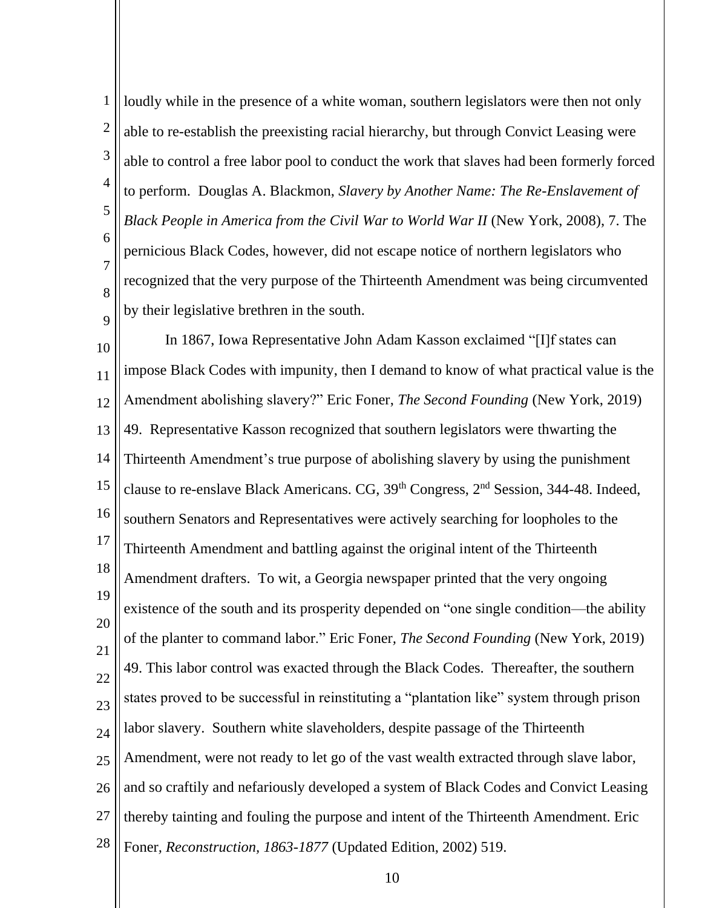1 2 3 4 5 6 7 8  $\overline{Q}$ loudly while in the presence of a white woman, southern legislators were then not only able to re-establish the preexisting racial hierarchy, but through Convict Leasing were able to control a free labor pool to conduct the work that slaves had been formerly forced to perform. Douglas A. Blackmon, *Slavery by Another Name: The Re-Enslavement of Black People in America from the Civil War to World War II* (New York, 2008), 7. The pernicious Black Codes, however, did not escape notice of northern legislators who recognized that the very purpose of the Thirteenth Amendment was being circumvented by their legislative brethren in the south.

10 11 12 13 14 15 16 17 18 19 20 21 22 23  $24$ 25 26 27 28 In 1867, Iowa Representative John Adam Kasson exclaimed "[I]f states can impose Black Codes with impunity, then I demand to know of what practical value is the Amendment abolishing slavery?" Eric Foner, *The Second Founding* (New York, 2019) 49. Representative Kasson recognized that southern legislators were thwarting the Thirteenth Amendment's true purpose of abolishing slavery by using the punishment clause to re-enslave Black Americans. CG, 39<sup>th</sup> Congress, 2<sup>nd</sup> Session, 344-48. Indeed, southern Senators and Representatives were actively searching for loopholes to the Thirteenth Amendment and battling against the original intent of the Thirteenth Amendment drafters. To wit, a Georgia newspaper printed that the very ongoing existence of the south and its prosperity depended on "one single condition—the ability of the planter to command labor." Eric Foner*, The Second Founding* (New York, 2019) 49. This labor control was exacted through the Black Codes. Thereafter, the southern states proved to be successful in reinstituting a "plantation like" system through prison labor slavery. Southern white slaveholders, despite passage of the Thirteenth Amendment, were not ready to let go of the vast wealth extracted through slave labor, and so craftily and nefariously developed a system of Black Codes and Convict Leasing thereby tainting and fouling the purpose and intent of the Thirteenth Amendment. Eric Foner*, Reconstruction, 1863-1877* (Updated Edition, 2002) 519.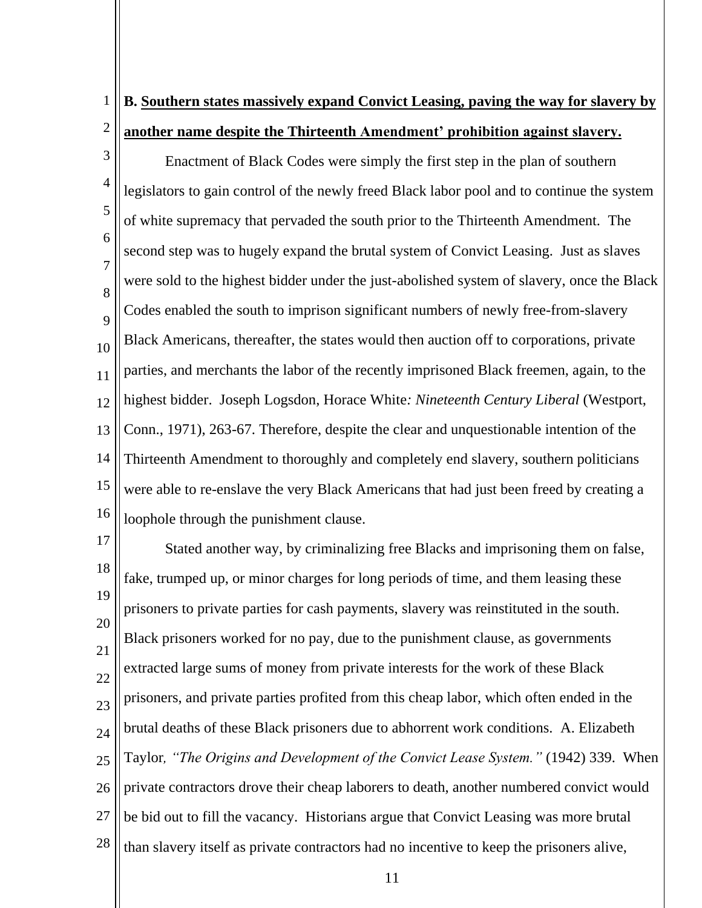### 1 2 **B. Southern states massively expand Convict Leasing, paving the way for slavery by another name despite the Thirteenth Amendment' prohibition against slavery.**

3 4 5 6 7 8  $\overline{Q}$ 10 11 12 13 14 15 16 Enactment of Black Codes were simply the first step in the plan of southern legislators to gain control of the newly freed Black labor pool and to continue the system of white supremacy that pervaded the south prior to the Thirteenth Amendment. The second step was to hugely expand the brutal system of Convict Leasing. Just as slaves were sold to the highest bidder under the just-abolished system of slavery, once the Black Codes enabled the south to imprison significant numbers of newly free-from-slavery Black Americans, thereafter, the states would then auction off to corporations, private parties, and merchants the labor of the recently imprisoned Black freemen, again, to the highest bidder. Joseph Logsdon, Horace White*: Nineteenth Century Liberal* (Westport, Conn., 1971), 263-67. Therefore, despite the clear and unquestionable intention of the Thirteenth Amendment to thoroughly and completely end slavery, southern politicians were able to re-enslave the very Black Americans that had just been freed by creating a loophole through the punishment clause.

17 18 19 20 21 22 23  $24$ 25 26 27 28 Stated another way, by criminalizing free Blacks and imprisoning them on false, fake, trumped up, or minor charges for long periods of time, and them leasing these prisoners to private parties for cash payments, slavery was reinstituted in the south. Black prisoners worked for no pay, due to the punishment clause, as governments extracted large sums of money from private interests for the work of these Black prisoners, and private parties profited from this cheap labor, which often ended in the brutal deaths of these Black prisoners due to abhorrent work conditions. A. Elizabeth Taylor*, "The Origins and Development of the Convict Lease System."* (1942) 339. When private contractors drove their cheap laborers to death, another numbered convict would be bid out to fill the vacancy. Historians argue that Convict Leasing was more brutal than slavery itself as private contractors had no incentive to keep the prisoners alive,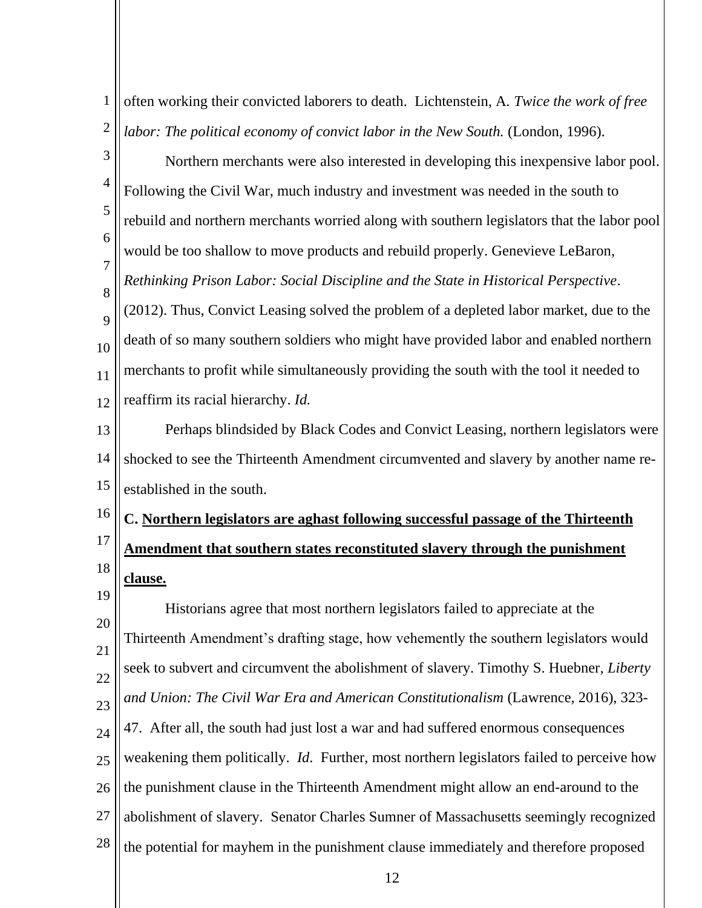1 2 3 4 often working their convicted laborers to death. Lichtenstein, A*. Twice the work of free labor: The political economy of convict labor in the New South.* (London, 1996). Northern merchants were also interested in developing this inexpensive labor pool.

5 6 7 8  $\overline{Q}$ 10 11 12 Following the Civil War, much industry and investment was needed in the south to rebuild and northern merchants worried along with southern legislators that the labor pool would be too shallow to move products and rebuild properly. Genevieve LeBaron, *Rethinking Prison Labor: Social Discipline and the State in Historical Perspective*. (2012). Thus, Convict Leasing solved the problem of a depleted labor market, due to the death of so many southern soldiers who might have provided labor and enabled northern merchants to profit while simultaneously providing the south with the tool it needed to reaffirm its racial hierarchy. *Id.* 

13 14 15 Perhaps blindsided by Black Codes and Convict Leasing, northern legislators were shocked to see the Thirteenth Amendment circumvented and slavery by another name reestablished in the south.

### 16 17 18 **C. Northern legislators are aghast following successful passage of the Thirteenth Amendment that southern states reconstituted slavery through the punishment clause.**

19 20 21 22 23  $24$ 25 26 27 28 Historians agree that most northern legislators failed to appreciate at the Thirteenth Amendment's drafting stage, how vehemently the southern legislators would seek to subvert and circumvent the abolishment of slavery. Timothy S. Huebner*, Liberty and Union: The Civil War Era and American Constitutionalism* (Lawrence, 2016), 323- 47. After all, the south had just lost a war and had suffered enormous consequences weakening them politically. *Id*. Further, most northern legislators failed to perceive how the punishment clause in the Thirteenth Amendment might allow an end-around to the abolishment of slavery. Senator Charles Sumner of Massachusetts seemingly recognized the potential for mayhem in the punishment clause immediately and therefore proposed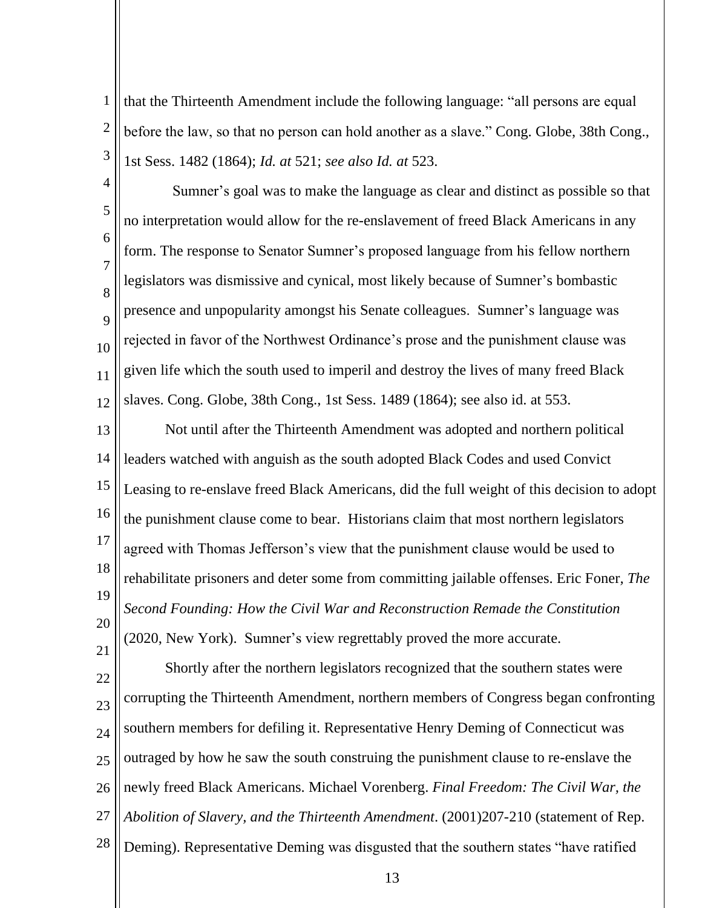1 2 3 that the Thirteenth Amendment include the following language: "all persons are equal before the law, so that no person can hold another as a slave." Cong. Globe, 38th Cong., 1st Sess. 1482 (1864); *Id. at* 521; *see also Id. at* 523.

4 5 6 7 8  $\overline{Q}$ 10 11 12 Sumner's goal was to make the language as clear and distinct as possible so that no interpretation would allow for the re-enslavement of freed Black Americans in any form. The response to Senator Sumner's proposed language from his fellow northern legislators was dismissive and cynical, most likely because of Sumner's bombastic presence and unpopularity amongst his Senate colleagues. Sumner's language was rejected in favor of the Northwest Ordinance's prose and the punishment clause was given life which the south used to imperil and destroy the lives of many freed Black slaves. Cong. Globe, 38th Cong., 1st Sess. 1489 (1864); see also id. at 553.

13 14 15 16 17 18 19 20 21 Not until after the Thirteenth Amendment was adopted and northern political leaders watched with anguish as the south adopted Black Codes and used Convict Leasing to re-enslave freed Black Americans, did the full weight of this decision to adopt the punishment clause come to bear. Historians claim that most northern legislators agreed with Thomas Jefferson's view that the punishment clause would be used to rehabilitate prisoners and deter some from committing jailable offenses. Eric Foner*, The Second Founding: How the Civil War and Reconstruction Remade the Constitution* (2020, New York). Sumner's view regrettably proved the more accurate.

22 23  $24$ 25 26 27 28 Shortly after the northern legislators recognized that the southern states were corrupting the Thirteenth Amendment, northern members of Congress began confronting southern members for defiling it. Representative Henry Deming of Connecticut was outraged by how he saw the south construing the punishment clause to re-enslave the newly freed Black Americans. Michael Vorenberg. *Final Freedom: The Civil War, the Abolition of Slavery, and the Thirteenth Amendment*. (2001)207-210 (statement of Rep. Deming). Representative Deming was disgusted that the southern states "have ratified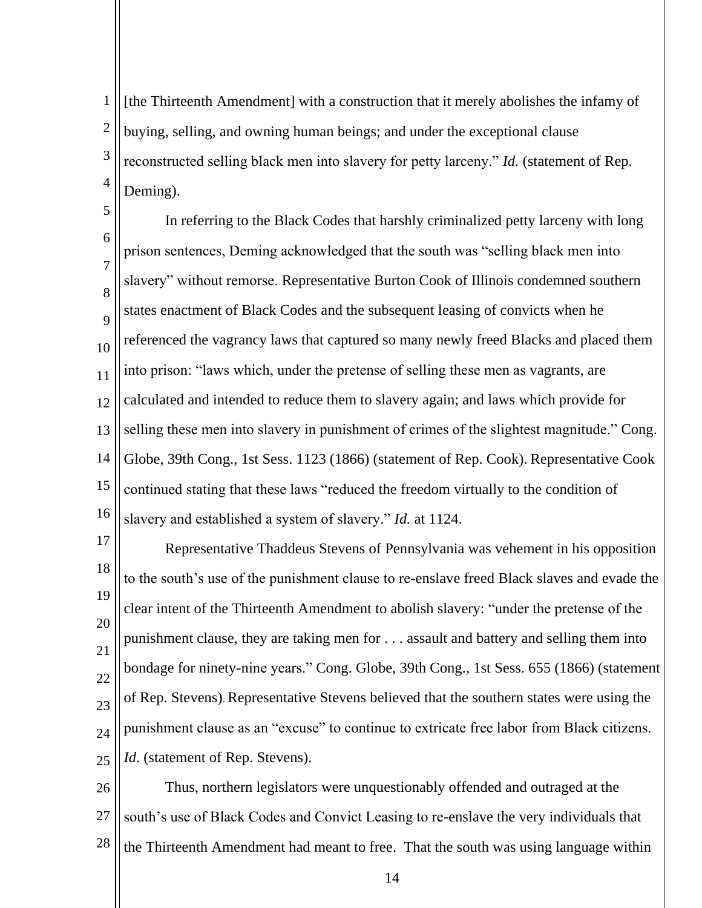1 2 3 4 [the Thirteenth Amendment] with a construction that it merely abolishes the infamy of buying, selling, and owning human beings; and under the exceptional clause reconstructed selling black men into slavery for petty larceny." *Id.* (statement of Rep. Deming).

5 6 7 8  $\overline{Q}$ 10 11 12 13 14 15 16 In referring to the Black Codes that harshly criminalized petty larceny with long prison sentences, Deming acknowledged that the south was "selling black men into slavery" without remorse. Representative Burton Cook of Illinois condemned southern states enactment of Black Codes and the subsequent leasing of convicts when he referenced the vagrancy laws that captured so many newly freed Blacks and placed them into prison: "laws which, under the pretense of selling these men as vagrants, are calculated and intended to reduce them to slavery again; and laws which provide for selling these men into slavery in punishment of crimes of the slightest magnitude." Cong. Globe, 39th Cong., 1st Sess. 1123 (1866) (statement of Rep. Cook). Representative Cook continued stating that these laws "reduced the freedom virtually to the condition of slavery and established a system of slavery." *Id.* at 1124.

17 18 19 20 21 22 23  $24$ 25 Representative Thaddeus Stevens of Pennsylvania was vehement in his opposition to the south's use of the punishment clause to re-enslave freed Black slaves and evade the clear intent of the Thirteenth Amendment to abolish slavery: "under the pretense of the punishment clause, they are taking men for . . . assault and battery and selling them into bondage for ninety-nine years." Cong. Globe, 39th Cong., 1st Sess. 655 (1866) (statement of Rep. Stevens). Representative Stevens believed that the southern states were using the punishment clause as an "excuse" to continue to extricate free labor from Black citizens. *Id*. (statement of Rep. Stevens).

26 27 28 Thus, northern legislators were unquestionably offended and outraged at the south's use of Black Codes and Convict Leasing to re-enslave the very individuals that the Thirteenth Amendment had meant to free. That the south was using language within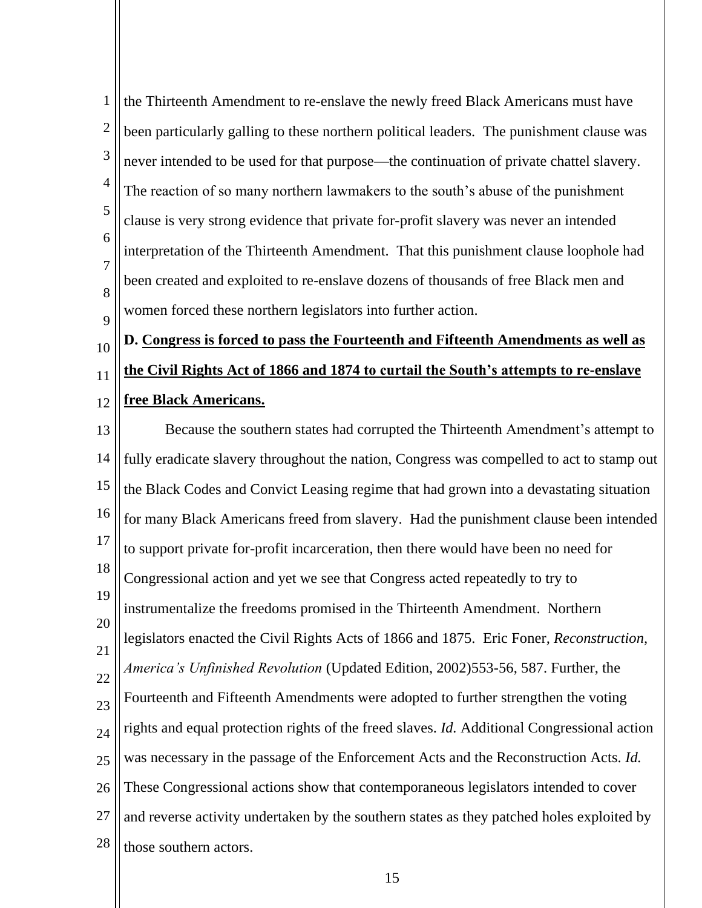1 2 3 4 5 6 7 8  $\overline{Q}$ the Thirteenth Amendment to re-enslave the newly freed Black Americans must have been particularly galling to these northern political leaders. The punishment clause was never intended to be used for that purpose—the continuation of private chattel slavery. The reaction of so many northern lawmakers to the south's abuse of the punishment clause is very strong evidence that private for-profit slavery was never an intended interpretation of the Thirteenth Amendment. That this punishment clause loophole had been created and exploited to re-enslave dozens of thousands of free Black men and women forced these northern legislators into further action.

10 11 12 **D. Congress is forced to pass the Fourteenth and Fifteenth Amendments as well as the Civil Rights Act of 1866 and 1874 to curtail the South's attempts to re-enslave free Black Americans.**

13 14 15 16 17 18 19 20 21 22 23 24 25 26 27 28 Because the southern states had corrupted the Thirteenth Amendment's attempt to fully eradicate slavery throughout the nation, Congress was compelled to act to stamp out the Black Codes and Convict Leasing regime that had grown into a devastating situation for many Black Americans freed from slavery. Had the punishment clause been intended to support private for-profit incarceration, then there would have been no need for Congressional action and yet we see that Congress acted repeatedly to try to instrumentalize the freedoms promised in the Thirteenth Amendment. Northern legislators enacted the Civil Rights Acts of 1866 and 1875. Eric Foner*, Reconstruction, America's Unfinished Revolution* (Updated Edition, 2002)553-56, 587. Further, the Fourteenth and Fifteenth Amendments were adopted to further strengthen the voting rights and equal protection rights of the freed slaves. *Id.* Additional Congressional action was necessary in the passage of the Enforcement Acts and the Reconstruction Acts. *Id.* These Congressional actions show that contemporaneous legislators intended to cover and reverse activity undertaken by the southern states as they patched holes exploited by those southern actors.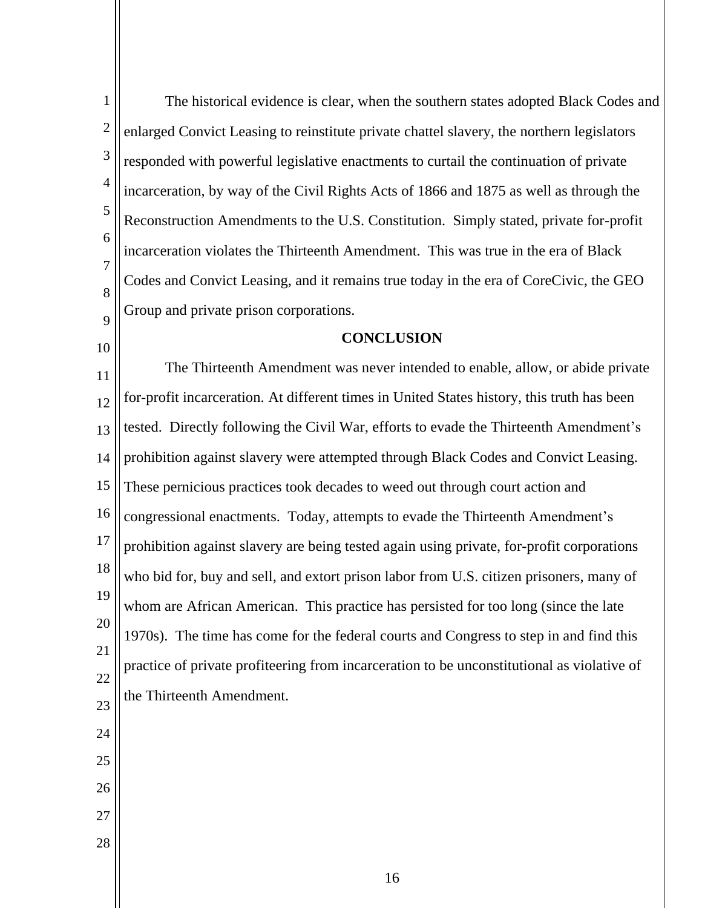| $\mathbf{1}$   | The historical evidence is clear, when the southern states adopted Black Codes and         |  |
|----------------|--------------------------------------------------------------------------------------------|--|
| $\overline{2}$ | enlarged Convict Leasing to reinstitute private chattel slavery, the northern legislators  |  |
| 3              | responded with powerful legislative enactments to curtail the continuation of private      |  |
| $\overline{4}$ | incarceration, by way of the Civil Rights Acts of 1866 and 1875 as well as through the     |  |
| 5              | Reconstruction Amendments to the U.S. Constitution. Simply stated, private for-profit      |  |
| 6              | incarceration violates the Thirteenth Amendment. This was true in the era of Black         |  |
| 7              | Codes and Convict Leasing, and it remains true today in the era of CoreCivic, the GEO      |  |
| 8<br>9         | Group and private prison corporations.                                                     |  |
| 10             | <b>CONCLUSION</b>                                                                          |  |
| 11             | The Thirteenth Amendment was never intended to enable, allow, or abide private             |  |
| 12             | for-profit incarceration. At different times in United States history, this truth has been |  |
| 13             | tested. Directly following the Civil War, efforts to evade the Thirteenth Amendment's      |  |
| 14             | prohibition against slavery were attempted through Black Codes and Convict Leasing.        |  |
| 15             | These pernicious practices took decades to weed out through court action and               |  |
| 16             | congressional enactments. Today, attempts to evade the Thirteenth Amendment's              |  |
| 17             | prohibition against slavery are being tested again using private, for-profit corporations  |  |
| 18             | who bid for, buy and sell, and extort prison labor from U.S. citizen prisoners, many of    |  |
| 19             | whom are African American. This practice has persisted for too long (since the late        |  |
| 20             | 1970s). The time has come for the federal courts and Congress to step in and find this     |  |
| 21             | practice of private profiteering from incarceration to be unconstitutional as violative of |  |
| 22<br>23       | the Thirteenth Amendment.                                                                  |  |
| 24             |                                                                                            |  |
| 25             |                                                                                            |  |
| 26             |                                                                                            |  |
| 27             |                                                                                            |  |
| $28\,$         |                                                                                            |  |
|                |                                                                                            |  |

16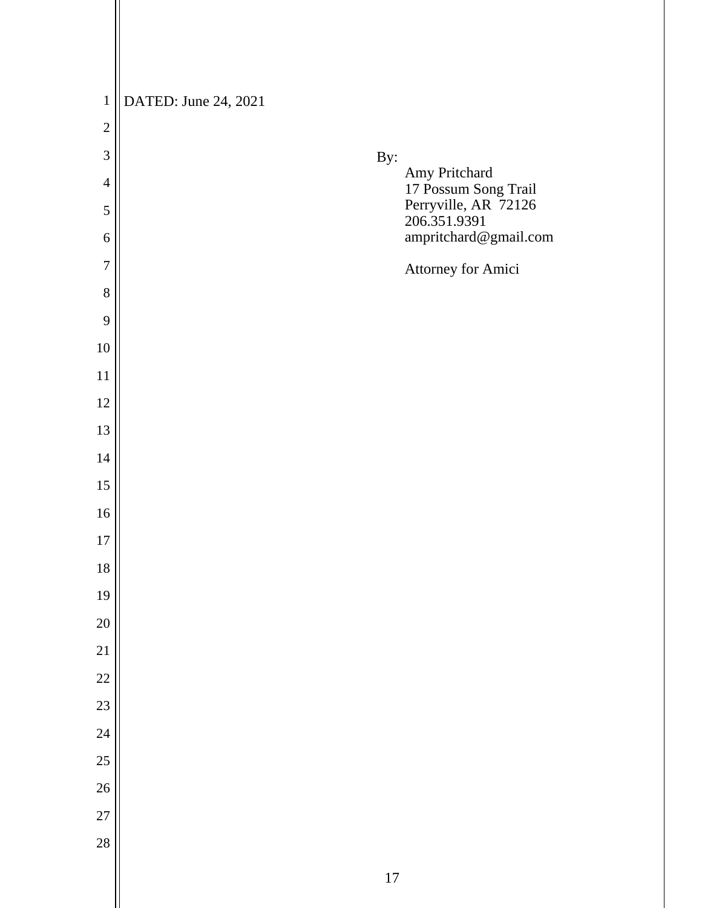| $\,1\,$        | DATED: June 24, 2021                  |
|----------------|---------------------------------------|
| $\overline{2}$ |                                       |
| 3              | By:                                   |
| $\overline{4}$ | Amy Pritchard<br>17 Possum Song Trail |
| 5              | Perryville, AR 72126<br>206.351.9391  |
| 6              | ampritchard@gmail.com                 |
| $\tau$         | Attorney for Amici                    |
| 8              |                                       |
| 9              |                                       |
| 10             |                                       |
| 11             |                                       |
| 12             |                                       |
| 13             |                                       |
| 14             |                                       |
| 15             |                                       |
| 16             |                                       |
| $17\,$         |                                       |
| 18             |                                       |
| 19             |                                       |
| 20             |                                       |
| 21             |                                       |
| 22             |                                       |
| 23             |                                       |
| 24             |                                       |
| 25             |                                       |
| 26             |                                       |
| 27             |                                       |
| 28             |                                       |
|                | 17                                    |